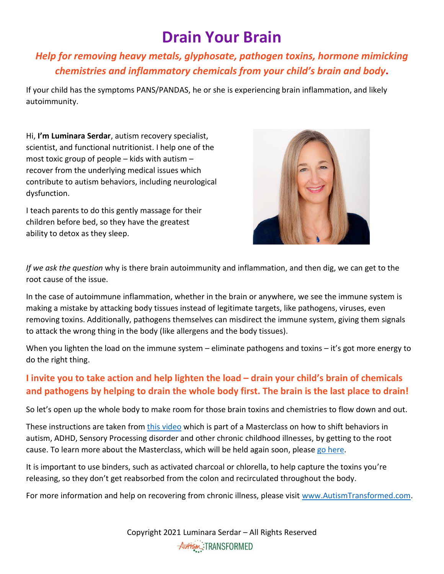## **Drain Your Brain**

## *Help for removing heavy metals, glyphosate, pathogen toxins, hormone mimicking chemistries and inflammatory chemicals from your child's brain and body***.**

If your child has the symptoms PANS/PANDAS, he or she is experiencing brain inflammation, and likely autoimmunity.

Hi, **I'm Luminara Serdar**, autism recovery specialist, scientist, and functional nutritionist. I help one of the most toxic group of people  $-$  kids with autism  $$ recover from the underlying medical issues which contribute to autism behaviors, including neurological dysfunction.

I teach parents to do this gently massage for their children before bed, so they have the greatest ability to detox as they sleep.



*If we ask the question* why is there brain autoimmunity and inflammation, and then dig, we can get to the root cause of the issue.

In the case of autoimmune inflammation, whether in the brain or anywhere, we see the immune system is making a mistake by attacking body tissues instead of legitimate targets, like pathogens, viruses, even removing toxins. Additionally, pathogens themselves can misdirect the immune system, giving them signals to attack the wrong thing in the body (like allergens and the body tissues).

When you lighten the load on the immune system – eliminate pathogens and toxins – it's got more energy to do the right thing.

## **I invite you to take action and help lighten the load – drain your child's brain of chemicals and pathogens by helping to drain the whole body first. The brain is the last place to drain!**

So let's open up the whole body to make room for those brain toxins and chemistries to flow down and out.

These instructions are taken from this [video](https://www.autismtransformed.com/pans-pandas-masterclass-fulfillment-lymph-massage-video/) which is part of a Masterclass on how to shift behaviors in autism, ADHD, Sensory Processing disorder and other chronic childhood illnesses, by getting to the root cause. To learn more about the Masterclass, which will be held again soon, please go [here.](https://autismtransformed.clickfunnels.com/landing-page-pre-registrations4rrdfoo)

It is important to use binders, such as activated charcoal or chlorella, to help capture the toxins you're releasing, so they don't get reabsorbed from the colon and recirculated throughout the body.

For more information and help on recovering from chronic illness, please visit [www.AutismTransformed.com.](https://www.autismtransformed.com/)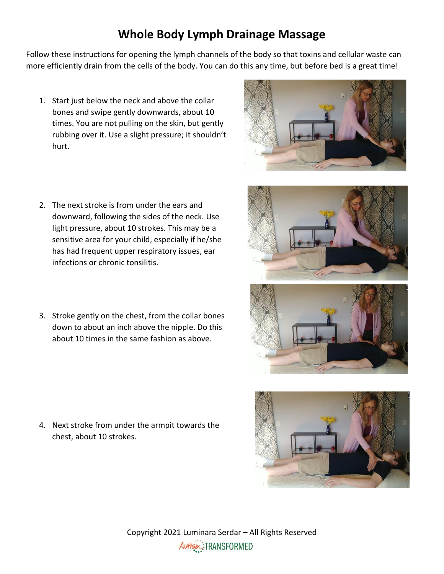## **Whole Body Lymph Drainage Massage**

Follow these instructions for opening the lymph channels of the body so that toxins and cellular waste can more efficiently drain from the cells of the body. You can do this any time, but before bed is a great time!

- 1. Start just below the neck and above the collar bones and swipe gently downwards, about 10 times. You are not pulling on the skin, but gently rubbing over it. Use a slight pressure; it shouldn't hurt.
- 2. The next stroke is from under the ears and downward, following the sides of the neck. Use light pressure, about 10 strokes. This may be a sensitive area for your child, especially if he/she has had frequent upper respiratory issues, ear infections or chronic tonsilitis.
- 3. Stroke gently on the chest, from the collar bones down to about an inch above the nipple. Do this about 10 times in the same fashion as above.

4. Next stroke from under the armpit towards the chest, about 10 strokes.







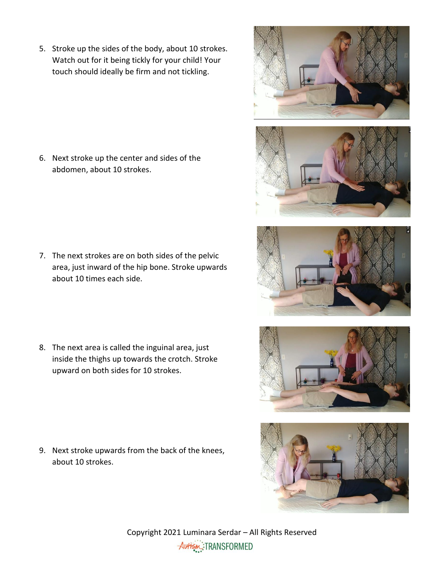5. Stroke up the sides of the body, about 10 strokes. Watch out for it being tickly for your child! Your touch should ideally be firm and not tickling.

6. Next stroke up the center and sides of the abdomen, about 10 strokes.

7. The next strokes are on both sides of the pelvic area, just inward of the hip bone. Stroke upwards about 10 times each side.

8. The next area is called the inguinal area, just inside the thighs up towards the crotch. Stroke upward on both sides for 10 strokes.

9. Next stroke upwards from the back of the knees, about 10 strokes.